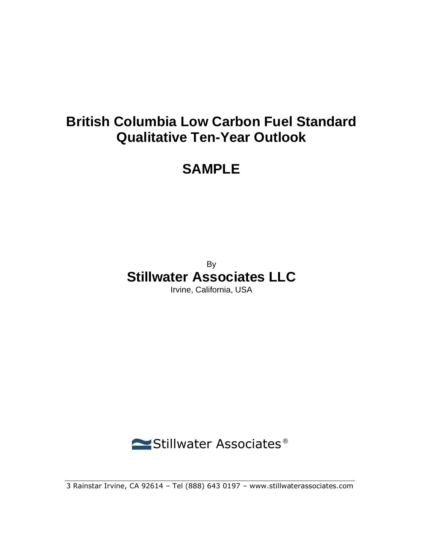## **British Columbia Low Carbon Fuel Standard Qualitative Ten-Year Outlook**

## **SAMPLE**

By

# **Stillwater Associates LLC**

Irvine, California, USA



3 Rainstar Irvine, CA 92614 – Tel (888) 643 0197 – www.stillwaterassociates.com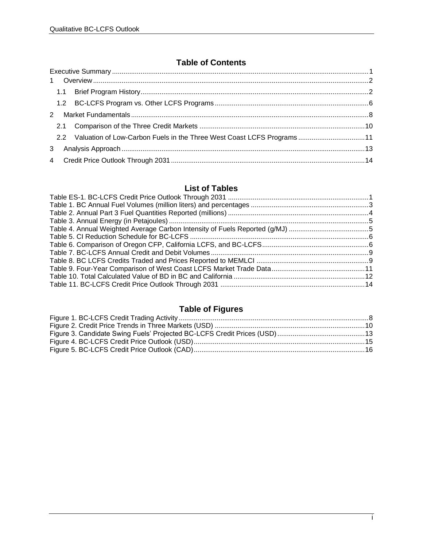#### **Table of Contents**

|              |  | 2.2 Valuation of Low-Carbon Fuels in the Three West Coast LCFS Programs11 |  |  |  |
|--------------|--|---------------------------------------------------------------------------|--|--|--|
| $\mathbf{3}$ |  |                                                                           |  |  |  |
|              |  |                                                                           |  |  |  |

### **List of Tables**

### **Table of Figures**